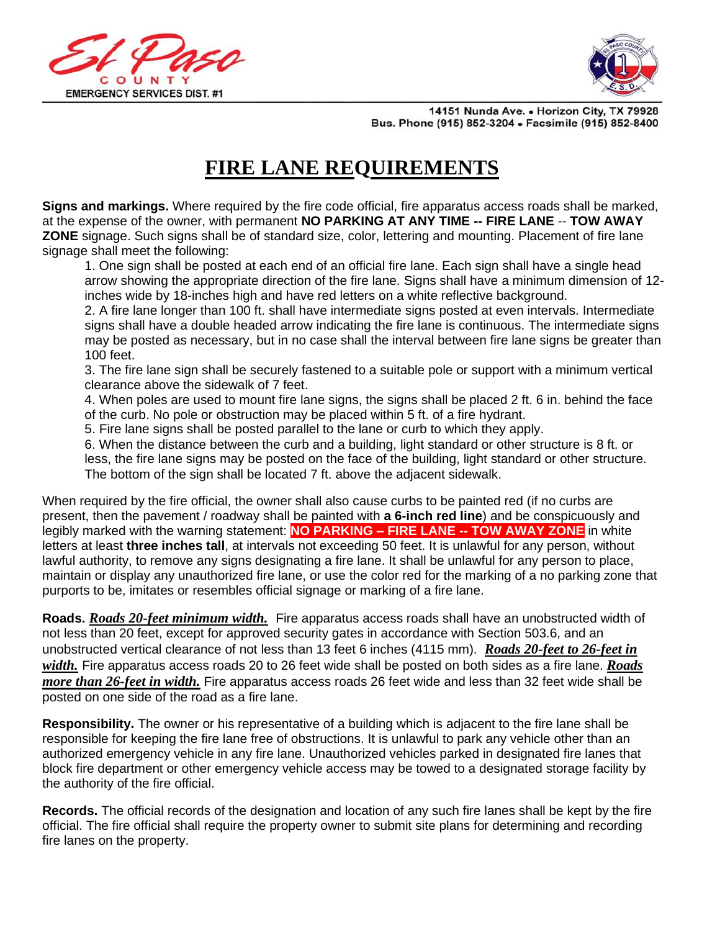



14151 Nunda Ave. . Horizon City, TX 79928 Bus. Phone (915) 852-3204 . Facsimile (915) 852-8400

## **FIRE LANE REQUIREMENTS**

**Signs and markings.** Where required by the fire code official, fire apparatus access roads shall be marked, at the expense of the owner, with permanent **NO PARKING AT ANY TIME -- FIRE LANE** -- **TOW AWAY ZONE** signage. Such signs shall be of standard size, color, lettering and mounting. Placement of fire lane signage shall meet the following:

1. One sign shall be posted at each end of an official fire lane. Each sign shall have a single head arrow showing the appropriate direction of the fire lane. Signs shall have a minimum dimension of 12 inches wide by 18-inches high and have red letters on a white reflective background.

2. A fire lane longer than 100 ft. shall have intermediate signs posted at even intervals. Intermediate signs shall have a double headed arrow indicating the fire lane is continuous. The intermediate signs may be posted as necessary, but in no case shall the interval between fire lane signs be greater than 100 feet.

3. The fire lane sign shall be securely fastened to a suitable pole or support with a minimum vertical clearance above the sidewalk of 7 feet.

4. When poles are used to mount fire lane signs, the signs shall be placed 2 ft. 6 in. behind the face of the curb. No pole or obstruction may be placed within 5 ft. of a fire hydrant.

5. Fire lane signs shall be posted parallel to the lane or curb to which they apply.

6. When the distance between the curb and a building, light standard or other structure is 8 ft. or less, the fire lane signs may be posted on the face of the building, light standard or other structure. The bottom of the sign shall be located 7 ft. above the adjacent sidewalk.

When required by the fire official, the owner shall also cause curbs to be painted red (if no curbs are present, then the pavement / roadway shall be painted with **a 6-inch red line**) and be conspicuously and legibly marked with the warning statement: **NO PARKING – FIRE LANE -- TOW AWAY ZONE** in white letters at least **three inches tall**, at intervals not exceeding 50 feet. It is unlawful for any person, without lawful authority, to remove any signs designating a fire lane. It shall be unlawful for any person to place, maintain or display any unauthorized fire lane, or use the color red for the marking of a no parking zone that purports to be, imitates or resembles official signage or marking of a fire lane.

**Roads.** *Roads 20-feet minimum width.* Fire apparatus access roads shall have an unobstructed width of not less than 20 feet, except for approved security gates in accordance with Section 503.6, and an unobstructed vertical clearance of not less than 13 feet 6 inches (4115 mm). *Roads 20-feet to 26-feet in width.* Fire apparatus access roads 20 to 26 feet wide shall be posted on both sides as a fire lane. *Roads more than 26-feet in width.* Fire apparatus access roads 26 feet wide and less than 32 feet wide shall be posted on one side of the road as a fire lane.

**Responsibility.** The owner or his representative of a building which is adjacent to the fire lane shall be responsible for keeping the fire lane free of obstructions. It is unlawful to park any vehicle other than an authorized emergency vehicle in any fire lane. Unauthorized vehicles parked in designated fire lanes that block fire department or other emergency vehicle access may be towed to a designated storage facility by the authority of the fire official.

**Records.** The official records of the designation and location of any such fire lanes shall be kept by the fire official. The fire official shall require the property owner to submit site plans for determining and recording fire lanes on the property.